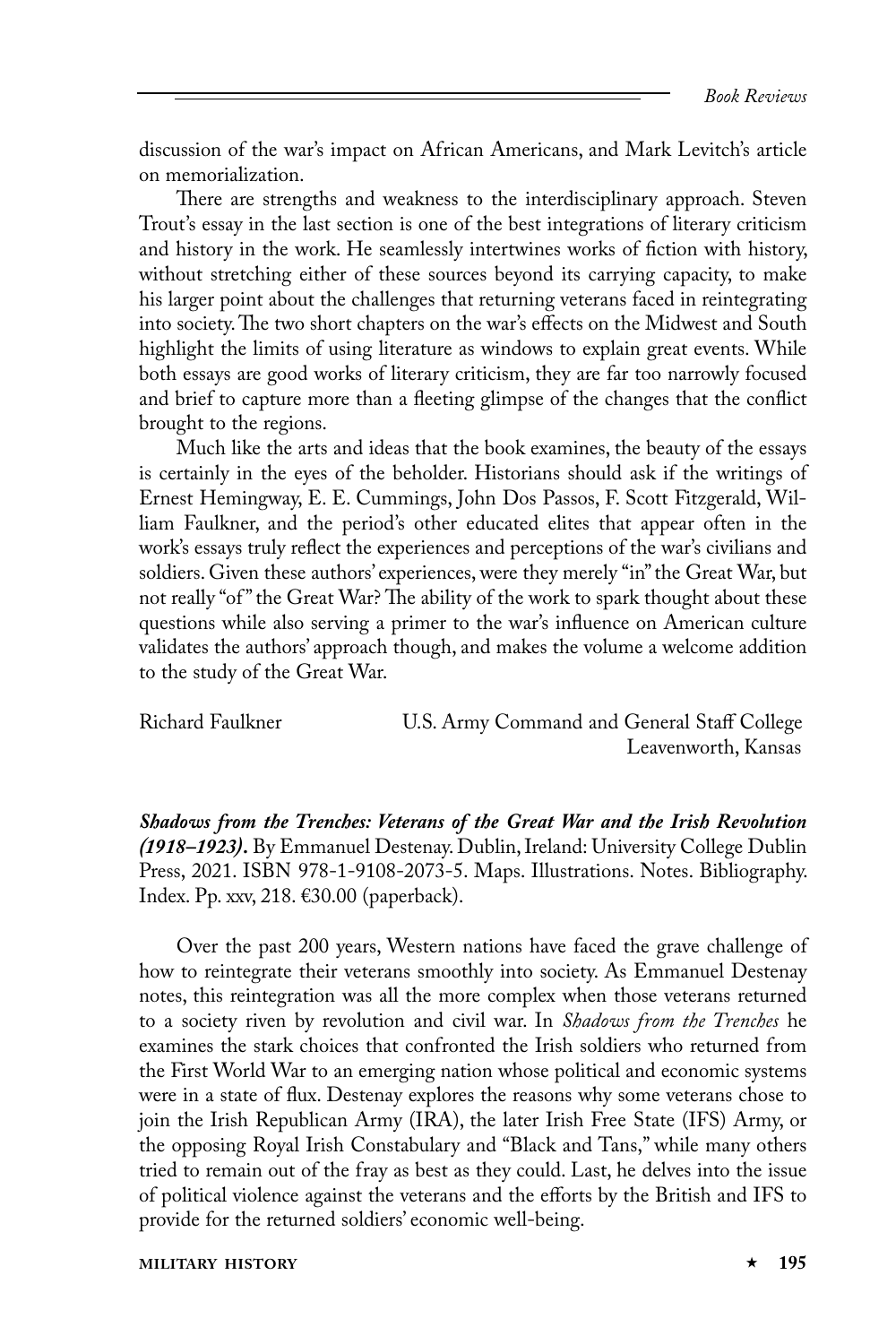discussion of the war's impact on African Americans, and Mark Levitch's article on memorialization.

There are strengths and weakness to the interdisciplinary approach. Steven Trout's essay in the last section is one of the best integrations of literary criticism and history in the work. He seamlessly intertwines works of fiction with history, without stretching either of these sources beyond its carrying capacity, to make his larger point about the challenges that returning veterans faced in reintegrating into society. The two short chapters on the war's effects on the Midwest and South highlight the limits of using literature as windows to explain great events. While both essays are good works of literary criticism, they are far too narrowly focused and brief to capture more than a fleeting glimpse of the changes that the conflict brought to the regions.

Much like the arts and ideas that the book examines, the beauty of the essays is certainly in the eyes of the beholder. Historians should ask if the writings of Ernest Hemingway, E. E. Cummings, John Dos Passos, F. Scott Fitzgerald, William Faulkner, and the period's other educated elites that appear often in the work's essays truly reflect the experiences and perceptions of the war's civilians and soldiers. Given these authors' experiences, were they merely "in" the Great War, but not really "of" the Great War? The ability of the work to spark thought about these questions while also serving a primer to the war's influence on American culture validates the authors' approach though, and makes the volume a welcome addition to the study of the Great War.

Richard Faulkner U.S. Army Command and General Staff College Leavenworth, Kansas

*Shadows from the Trenches: Veterans of the Great War and the Irish Revolution (1918–1923)***.** By Emmanuel Destenay. Dublin, Ireland: University College Dublin Press, 2021. ISBN 978-1-9108-2073-5. Maps. Illustrations. Notes. Bibliography. Index. Pp. xxv, 218. €30.00 (paperback).

Over the past 200 years, Western nations have faced the grave challenge of how to reintegrate their veterans smoothly into society. As Emmanuel Destenay notes, this reintegration was all the more complex when those veterans returned to a society riven by revolution and civil war. In *Shadows from the Trenches* he examines the stark choices that confronted the Irish soldiers who returned from the First World War to an emerging nation whose political and economic systems were in a state of flux. Destenay explores the reasons why some veterans chose to join the Irish Republican Army (IRA), the later Irish Free State (IFS) Army, or the opposing Royal Irish Constabulary and "Black and Tans," while many others tried to remain out of the fray as best as they could. Last, he delves into the issue of political violence against the veterans and the efforts by the British and IFS to provide for the returned soldiers' economic well-being.

**MILITARY HISTORY 195**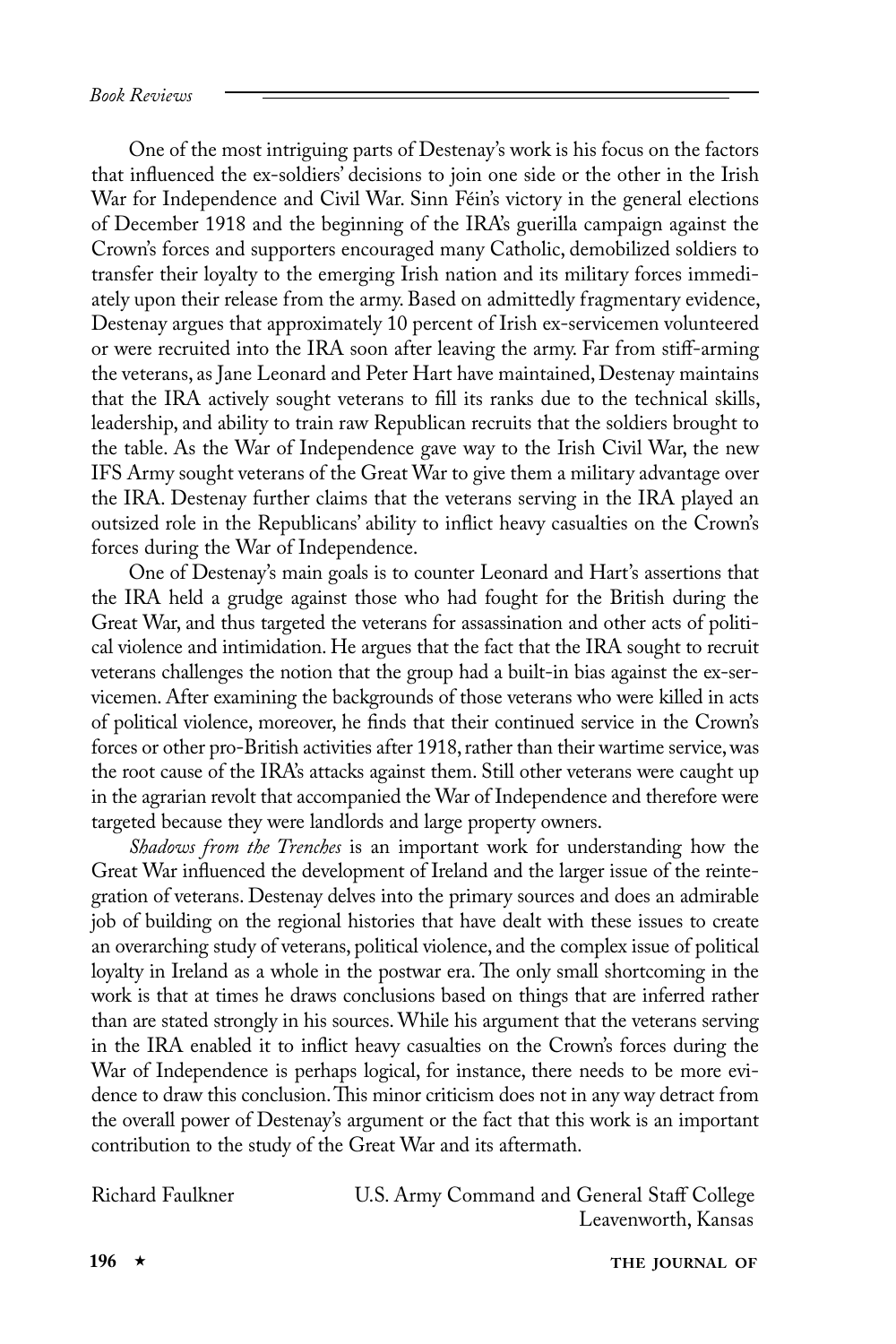One of the most intriguing parts of Destenay's work is his focus on the factors that influenced the ex-soldiers' decisions to join one side or the other in the Irish War for Independence and Civil War. Sinn Féin's victory in the general elections of December 1918 and the beginning of the IRA's guerilla campaign against the Crown's forces and supporters encouraged many Catholic, demobilized soldiers to transfer their loyalty to the emerging Irish nation and its military forces immediately upon their release from the army. Based on admittedly fragmentary evidence, Destenay argues that approximately 10 percent of Irish ex-servicemen volunteered or were recruited into the IRA soon after leaving the army. Far from stiff-arming the veterans, as Jane Leonard and Peter Hart have maintained, Destenay maintains that the IRA actively sought veterans to fill its ranks due to the technical skills, leadership, and ability to train raw Republican recruits that the soldiers brought to the table. As the War of Independence gave way to the Irish Civil War, the new IFS Army sought veterans of the Great War to give them a military advantage over the IRA. Destenay further claims that the veterans serving in the IRA played an outsized role in the Republicans' ability to inflict heavy casualties on the Crown's forces during the War of Independence.

One of Destenay's main goals is to counter Leonard and Hart's assertions that the IRA held a grudge against those who had fought for the British during the Great War, and thus targeted the veterans for assassination and other acts of political violence and intimidation. He argues that the fact that the IRA sought to recruit veterans challenges the notion that the group had a built-in bias against the ex-servicemen. After examining the backgrounds of those veterans who were killed in acts of political violence, moreover, he finds that their continued service in the Crown's forces or other pro-British activities after 1918, rather than their wartime service, was the root cause of the IRA's attacks against them. Still other veterans were caught up in the agrarian revolt that accompanied the War of Independence and therefore were targeted because they were landlords and large property owners.

*Shadows from the Trenches* is an important work for understanding how the Great War influenced the development of Ireland and the larger issue of the reintegration of veterans. Destenay delves into the primary sources and does an admirable job of building on the regional histories that have dealt with these issues to create an overarching study of veterans, political violence, and the complex issue of political loyalty in Ireland as a whole in the postwar era. The only small shortcoming in the work is that at times he draws conclusions based on things that are inferred rather than are stated strongly in his sources. While his argument that the veterans serving in the IRA enabled it to inflict heavy casualties on the Crown's forces during the War of Independence is perhaps logical, for instance, there needs to be more evidence to draw this conclusion. This minor criticism does not in any way detract from the overall power of Destenay's argument or the fact that this work is an important contribution to the study of the Great War and its aftermath.

Richard Faulkner U.S. Army Command and General Staff College Leavenworth, Kansas